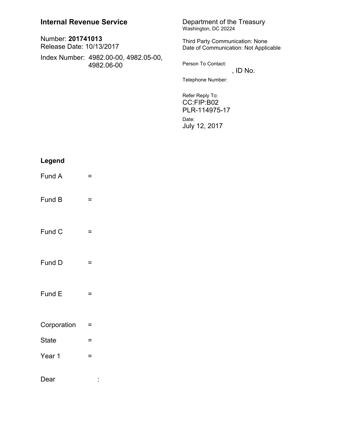| Number: 201741013<br>Release Date: 10/13/2017 |                                                     |  |
|-----------------------------------------------|-----------------------------------------------------|--|
|                                               | Index Number: 4982.00-00, 4982.05-00,<br>4982.06-00 |  |

## Department of the Treasury<br>Washington, DC 20224

Third Party Communication: None Date of Communication: Not Applicable

Person To Contact: , ID No.

Telephone Number:

Refer Reply To: CC:FIP:B02 PLR-114975-17 Date: July 12, 2017

| Legend       |                |
|--------------|----------------|
| Fund A       | =              |
| Fund B       | =              |
| Fund C       | =              |
| Fund D       | =              |
| Fund E       | =              |
| Corporation  | =              |
| <b>State</b> | =              |
| Year 1       | =              |
| Dear         | $\blacksquare$ |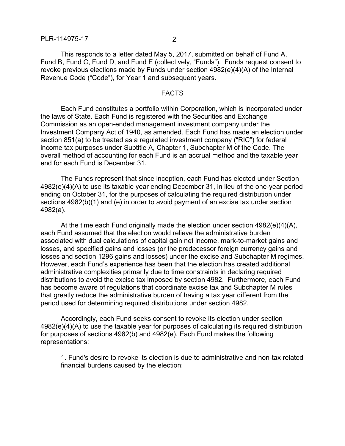This responds to a letter dated May 5, 2017, submitted on behalf of Fund A, Fund B, Fund C, Fund D, and Fund E (collectively, "Funds"). Funds request consent to revoke previous elections made by Funds under section 4982(e)(4)(A) of the Internal Revenue Code ("Code"), for Year 1 and subsequent years.

## FACTS

Each Fund constitutes a portfolio within Corporation, which is incorporated under the laws of State. Each Fund is registered with the Securities and Exchange Commission as an open-ended management investment company under the Investment Company Act of 1940, as amended. Each Fund has made an election under section 851(a) to be treated as a regulated investment company ("RIC") for federal income tax purposes under Subtitle A, Chapter 1, Subchapter M of the Code. The overall method of accounting for each Fund is an accrual method and the taxable year end for each Fund is December 31.

The Funds represent that since inception, each Fund has elected under Section 4982(e)(4)(A) to use its taxable year ending December 31, in lieu of the one-year period ending on October 31, for the purposes of calculating the required distribution under sections 4982(b)(1) and (e) in order to avoid payment of an excise tax under section 4982(a).

At the time each Fund originally made the election under section  $4982(e)(4)(A)$ , each Fund assumed that the election would relieve the administrative burden associated with dual calculations of capital gain net income, mark-to-market gains and losses, and specified gains and losses (or the predecessor foreign currency gains and losses and section 1296 gains and losses) under the excise and Subchapter M regimes. However, each Fund's experience has been that the election has created additional administrative complexities primarily due to time constraints in declaring required distributions to avoid the excise tax imposed by section 4982. Furthermore, each Fund has become aware of regulations that coordinate excise tax and Subchapter M rules that greatly reduce the administrative burden of having a tax year different from the period used for determining required distributions under section 4982.

Accordingly, each Fund seeks consent to revoke its election under section 4982(e)(4)(A) to use the taxable year for purposes of calculating its required distribution for purposes of sections 4982(b) and 4982(e). Each Fund makes the following representations:

1. Fund's desire to revoke its election is due to administrative and non-tax related financial burdens caused by the election;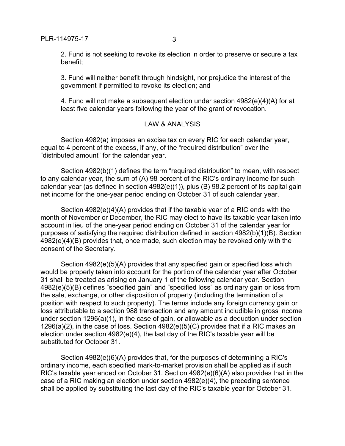2. Fund is not seeking to revoke its election in order to preserve or secure a tax benefit;

3. Fund will neither benefit through hindsight, nor prejudice the interest of the government if permitted to revoke its election; and

4. Fund will not make a subsequent election under section 4982(e)(4)(A) for at least five calendar years following the year of the grant of revocation.

## LAW & ANALYSIS

Section 4982(a) imposes an excise tax on every RIC for each calendar year, equal to 4 percent of the excess, if any, of the "required distribution" over the "distributed amount" for the calendar year.

Section 4982(b)(1) defines the term "required distribution" to mean, with respect to any calendar year, the sum of (A) 98 percent of the RIC's ordinary income for such calendar year (as defined in section 4982(e)(1)), plus (B) 98.2 percent of its capital gain net income for the one-year period ending on October 31 of such calendar year.

Section 4982(e)(4)(A) provides that if the taxable year of a RIC ends with the month of November or December, the RIC may elect to have its taxable year taken into account in lieu of the one-year period ending on October 31 of the calendar year for purposes of satisfying the required distribution defined in section 4982(b)(1)(B). Section 4982(e)(4)(B) provides that, once made, such election may be revoked only with the consent of the Secretary.

Section 4982(e)(5)(A) provides that any specified gain or specified loss which would be properly taken into account for the portion of the calendar year after October 31 shall be treated as arising on January 1 of the following calendar year. Section 4982(e)(5)(B) defines "specified gain" and "specified loss" as ordinary gain or loss from the sale, exchange, or other disposition of property (including the termination of a position with respect to such property). The terms include any foreign currency gain or loss attributable to a section 988 transaction and any amount includible in gross income under section 1296(a)(1), in the case of gain, or allowable as a deduction under section 1296(a)(2), in the case of loss. Section  $4982(e)(5)(C)$  provides that if a RIC makes an election under section 4982(e)(4), the last day of the RIC's taxable year will be substituted for October 31.

Section 4982(e)(6)(A) provides that, for the purposes of determining a RIC's ordinary income, each specified mark-to-market provision shall be applied as if such RIC's taxable year ended on October 31. Section 4982(e)(6)(A) also provides that in the case of a RIC making an election under section 4982(e)(4), the preceding sentence shall be applied by substituting the last day of the RIC's taxable year for October 31.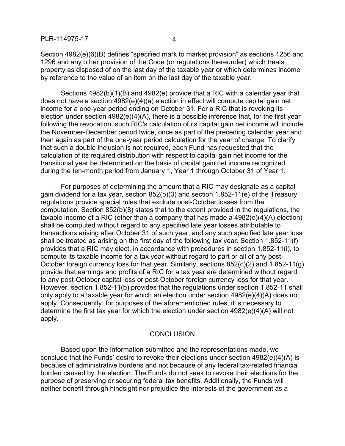Section 4982(e)(6)(B) defines "specified mark to market provision" as sections 1256 and 1296 and any other provision of the Code (or regulations thereunder) which treats property as disposed of on the last day of the taxable year or which determines income by reference to the value of an item on the last day of the taxable year.

Sections 4982(b)(1)(B) and 4982(e) provide that a RIC with a calendar year that does not have a section 4982(e)(4)(a) election in effect will compute capital gain net income for a one-year period ending on October 31. For a RIC that is revoking its election under section 4982(e)(4)(A), there is a possible inference that, for the first year following the revocation, such RIC's calculation of its capital gain net income will include the November-December period twice, once as part of the preceding calendar year and then again as part of the one-year period calculation for the year of change. To clarify that such a double inclusion is not required, each Fund has requested that the calculation of its required distribution with respect to capital gain net income for the transitional year be determined on the basis of capital gain net income recognized during the ten-month period from January 1, Year 1 through October 31 of Year 1.

For purposes of determining the amount that a RIC may designate as a capital gain dividend for a tax year, section 852(b)(3) and section 1.852-11(e) of the Treasury regulations provide special rules that exclude post-October losses from the computation. Section 852(b)(8) states that to the extent provided in the regulations, the taxable income of a RIC (other than a company that has made a 4982(e)(4)(A) election) shall be computed without regard to any specified late year losses attributable to transactions arising after October 31 of such year, and any such specified late year loss shall be treated as arising on the first day of the following tax year. Section 1.852-11(f) provides that a RIC may elect, in accordance with procedures in section 1.852-11(i), to compute its taxable income for a tax year without regard to part or all of any post-October foreign currency loss for that year. Similarly, sections 852(c)(2) and 1.852-11(g) provide that earnings and profits of a RIC for a tax year are determined without regard to any post-October capital loss or post-October foreign currency loss for that year. However, section 1.852-11(b) provides that the regulations under section 1.852-11 shall only apply to a taxable year for which an election under section  $4982(e)(4)(A)$  does not apply. Consequently, for purposes of the aforementioned rules, it is necessary to determine the first tax year for which the election under section 4982(e)(4)(A) will not apply.

## **CONCLUSION**

Based upon the information submitted and the representations made, we conclude that the Funds' desire to revoke their elections under section 4982(e)(4)(A) is because of administrative burdens and not because of any federal tax-related financial burden caused by the election. The Funds do not seek to revoke their elections for the purpose of preserving or securing federal tax benefits. Additionally, the Funds will neither benefit through hindsight nor prejudice the interests of the government as a